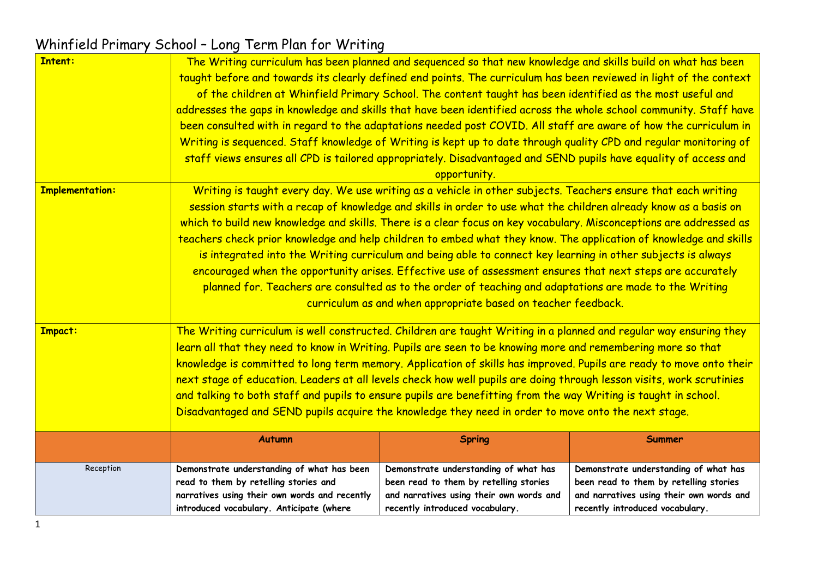| <b>Intent:</b>         | The Writing curriculum has been planned and sequenced so that new knowledge and skills build on what has been<br>taught before and towards its clearly defined end points. The curriculum has been reviewed in light of the context<br>of the children at Whinfield Primary School. The content taught has been identified as the most useful and<br>addresses the gaps in knowledge and skills that have been identified across the whole school community. Staff have<br>been consulted with in regard to the adaptations needed post COVID. All staff are aware of how the curriculum in<br>Writing is sequenced. Staff knowledge of Writing is kept up to date through quality CPD and regular monitoring of<br>staff views ensures all CPD is tailored appropriately. Disadvantaged and SEND pupils have equality of access and<br>opportunity.                                   |                                                                                                                                                                |                                                                                                                                                                |  |  |
|------------------------|----------------------------------------------------------------------------------------------------------------------------------------------------------------------------------------------------------------------------------------------------------------------------------------------------------------------------------------------------------------------------------------------------------------------------------------------------------------------------------------------------------------------------------------------------------------------------------------------------------------------------------------------------------------------------------------------------------------------------------------------------------------------------------------------------------------------------------------------------------------------------------------|----------------------------------------------------------------------------------------------------------------------------------------------------------------|----------------------------------------------------------------------------------------------------------------------------------------------------------------|--|--|
| <b>Implementation:</b> | Writing is taught every day. We use writing as a vehicle in other subjects. Teachers ensure that each writing<br>session starts with a recap of knowledge and skills in order to use what the children already know as a basis on<br>which to build new knowledge and skills. There is a clear focus on key vocabulary. Misconceptions are addressed as<br>teachers check prior knowledge and help children to embed what they know. The application of knowledge and skills<br>is integrated into the Writing curriculum and being able to connect key learning in other subjects is always<br>encouraged when the opportunity arises. Effective use of assessment ensures that next steps are accurately<br>planned for. Teachers are consulted as to the order of teaching and adaptations are made to the Writing<br>curriculum as and when appropriate based on teacher feedback. |                                                                                                                                                                |                                                                                                                                                                |  |  |
| <b>Impact:</b>         | The Writing curriculum is well constructed. Children are taught Writing in a planned and regular way ensuring they<br>learn all that they need to know in Writing. Pupils are seen to be knowing more and remembering more so that<br>knowledge is committed to long term memory. Application of skills has improved. Pupils are ready to move onto their<br>next stage of education. Leaders at all levels check how well pupils are doing through lesson visits, work scrutinies<br>and talking to both staff and pupils to ensure pupils are benefitting from the way Writing is taught in school.<br>Disadvantaged and SEND pupils acquire the knowledge they need in order to move onto the next stage.                                                                                                                                                                           |                                                                                                                                                                |                                                                                                                                                                |  |  |
|                        | <b>Autumn</b>                                                                                                                                                                                                                                                                                                                                                                                                                                                                                                                                                                                                                                                                                                                                                                                                                                                                          | <b>Spring</b>                                                                                                                                                  | <b>Summer</b>                                                                                                                                                  |  |  |
| Reception              | Demonstrate understanding of what has been<br>read to them by retelling stories and<br>narratives using their own words and recently<br>introduced vocabulary. Anticipate (where                                                                                                                                                                                                                                                                                                                                                                                                                                                                                                                                                                                                                                                                                                       | Demonstrate understanding of what has<br>been read to them by retelling stories<br>and narratives using their own words and<br>recently introduced vocabulary. | Demonstrate understanding of what has<br>been read to them by retelling stories<br>and narratives using their own words and<br>recently introduced vocabulary. |  |  |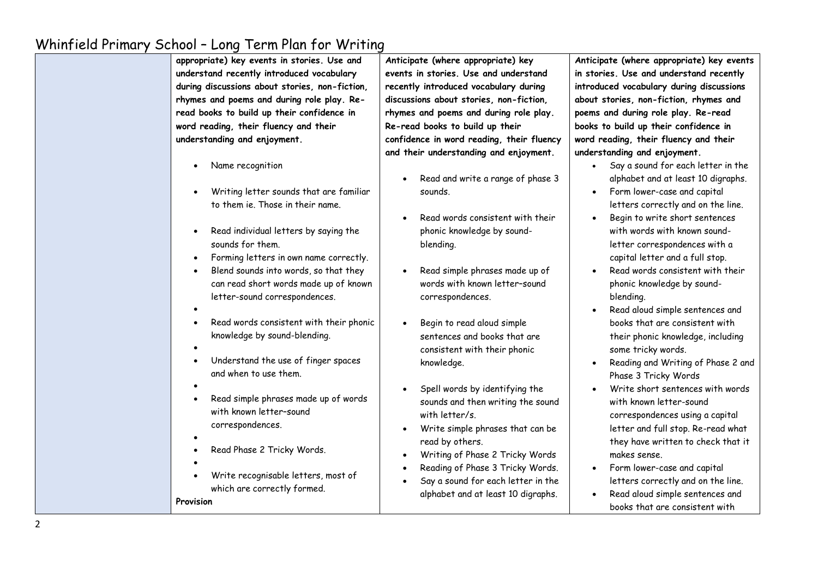| appropriate) key events in stories. Use and<br>understand recently introduced vocabulary<br>during discussions about stories, non-fiction,<br>rhymes and poems and during role play. Re-<br>read books to build up their confidence in<br>word reading, their fluency and their | Anticipate (where appropriate) key<br>events in stories. Use and understand<br>recently introduced vocabulary during<br>discussions about stories, non-fiction,<br>rhymes and poems and during role play.<br>Re-read books to build up their | Anticipate (wh<br>in stories. Use<br>introduced voc<br>about stories,<br>poems and dur<br>books to build |
|---------------------------------------------------------------------------------------------------------------------------------------------------------------------------------------------------------------------------------------------------------------------------------|----------------------------------------------------------------------------------------------------------------------------------------------------------------------------------------------------------------------------------------------|----------------------------------------------------------------------------------------------------------|
| understanding and enjoyment.                                                                                                                                                                                                                                                    | confidence in word reading, their fluency                                                                                                                                                                                                    | word reading,                                                                                            |
|                                                                                                                                                                                                                                                                                 | and their understanding and enjoyment.                                                                                                                                                                                                       | understanding                                                                                            |
| Name recognition<br>Writing letter sounds that are familiar<br>$\bullet$                                                                                                                                                                                                        | Read and write a range of phase 3<br>sounds.                                                                                                                                                                                                 | Say a<br>alphab<br>Form I                                                                                |
| to them ie. Those in their name.                                                                                                                                                                                                                                                | Read words consistent with their                                                                                                                                                                                                             | letter:<br>Begin:                                                                                        |
| Read individual letters by saying the<br>$\bullet$<br>sounds for them.                                                                                                                                                                                                          | phonic knowledge by sound-<br>blending.                                                                                                                                                                                                      | with w<br>letter                                                                                         |
| Forming letters in own name correctly.<br>$\bullet$                                                                                                                                                                                                                             |                                                                                                                                                                                                                                              | capita                                                                                                   |
| Blend sounds into words, so that they<br>$\bullet$<br>can read short words made up of known<br>letter-sound correspondences.                                                                                                                                                    | Read simple phrases made up of<br>words with known letter-sound<br>correspondences.                                                                                                                                                          | Read v<br>phonic<br>blendi                                                                               |
|                                                                                                                                                                                                                                                                                 |                                                                                                                                                                                                                                              | Read c                                                                                                   |
| Read words consistent with their phonic<br>$\bullet$<br>knowledge by sound-blending.                                                                                                                                                                                            | Begin to read aloud simple<br>sentences and books that are                                                                                                                                                                                   | books<br>their p                                                                                         |
| Understand the use of finger spaces<br>$\bullet$<br>and when to use them.                                                                                                                                                                                                       | consistent with their phonic<br>knowledge.                                                                                                                                                                                                   | some 1<br>Readir<br>Phase                                                                                |
| Read simple phrases made up of words<br>$\bullet$<br>with known letter-sound                                                                                                                                                                                                    | Spell words by identifying the<br>sounds and then writing the sound<br>with letter/s.                                                                                                                                                        | Write<br>with k<br>corres                                                                                |
| correspondences.                                                                                                                                                                                                                                                                | Write simple phrases that can be<br>read by others.                                                                                                                                                                                          | letter<br>they h                                                                                         |
| Read Phase 2 Tricky Words.                                                                                                                                                                                                                                                      | Writing of Phase 2 Tricky Words<br>Reading of Phase 3 Tricky Words.                                                                                                                                                                          | makes<br>Form I                                                                                          |
| Write recognisable letters, most of<br>which are correctly formed.                                                                                                                                                                                                              | Say a sound for each letter in the<br>alphabet and at least 10 digraphs.                                                                                                                                                                     | letter:<br>Read c                                                                                        |
| Provision                                                                                                                                                                                                                                                                       |                                                                                                                                                                                                                                              | hooke                                                                                                    |

**Anticipate (where appropriate) key events in stories. Use and understand recently introduced vocabulary during discussions about stories, non-fiction, rhymes and poems and during role play. Re-read books to build up their confidence in word reading, their fluency and their**  and enjoyment.

- sound for each letter in the bet and at least 10 digraphs.
- lower-case and capital is correctly and on the line.
- to write short sentences ords with known soundcorrespondences with a l letter and a full stop.
- words consistent with their knowledge by soundblending.
- aloud simple sentences and that are consistent with phonic knowledge, including tricky words.
- ng and Writing of Phase 2 and 3 Tricky Words
- short sentences with words nown letter-sound spondences using a capital and full stop. Re-read what ave written to check that it sense.
- lower-case and capital is correctly and on the line.
- aloud simple sentences and books that are consistent with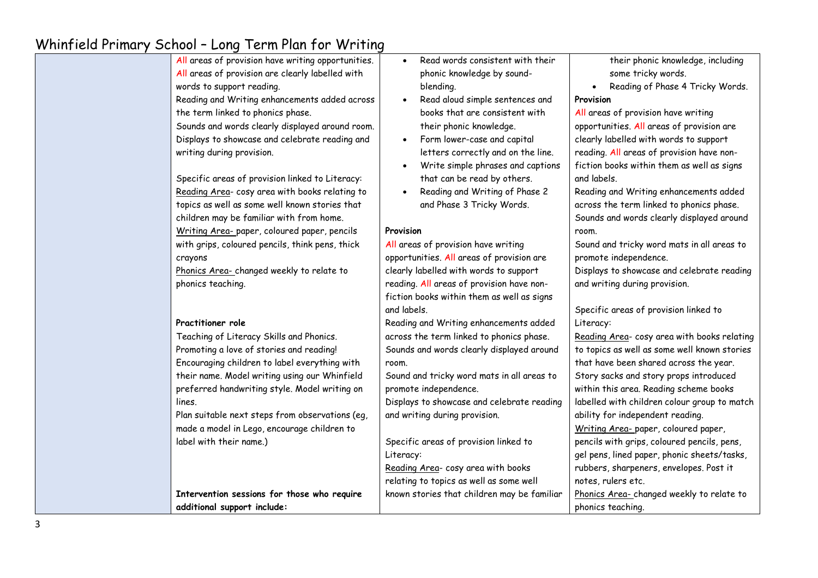| All areas of provision have writing opportunities.<br>All areas of provision are clearly labelled with<br>words to support reading.<br>Reading and Writing enhancements added across                                                                                     | Read words consistent with their<br>$\bullet$<br>phonic knowledge by sound-<br>blending.<br>Read aloud simple sentences and<br>$\bullet$                                                                                                                                    | their phonic knowledge, including<br>some tricky words.<br>Reading of Phase 4 Tricky Words.<br>$\bullet$<br>Provision                                                                                                                                                          |
|--------------------------------------------------------------------------------------------------------------------------------------------------------------------------------------------------------------------------------------------------------------------------|-----------------------------------------------------------------------------------------------------------------------------------------------------------------------------------------------------------------------------------------------------------------------------|--------------------------------------------------------------------------------------------------------------------------------------------------------------------------------------------------------------------------------------------------------------------------------|
| the term linked to phonics phase.<br>Sounds and words clearly displayed around room.<br>Displays to showcase and celebrate reading and<br>writing during provision.<br>Specific areas of provision linked to Literacy:<br>Reading Area- cosy area with books relating to | books that are consistent with<br>their phonic knowledge.<br>Form lower-case and capital<br>$\bullet$<br>letters correctly and on the line.<br>Write simple phrases and captions<br>$\bullet$<br>that can be read by others.<br>Reading and Writing of Phase 2<br>$\bullet$ | All areas of provision have writing<br>opportunities. All areas of provision are<br>clearly labelled with words to support<br>reading. All areas of provision have non-<br>fiction books within them as well as signs<br>and labels.<br>Reading and Writing enhancements added |
| topics as well as some well known stories that<br>children may be familiar with from home.<br>Writing Area-paper, coloured paper, pencils                                                                                                                                | and Phase 3 Tricky Words.<br>Provision                                                                                                                                                                                                                                      | across the term linked to phonics phase.<br>Sounds and words clearly displayed around<br>room.                                                                                                                                                                                 |
| with grips, coloured pencils, think pens, thick<br>crayons<br>Phonics Area-changed weekly to relate to<br>phonics teaching.                                                                                                                                              | All areas of provision have writing<br>opportunities. All areas of provision are<br>clearly labelled with words to support<br>reading. All areas of provision have non-<br>fiction books within them as well as signs                                                       | Sound and tricky word mats in all areas to<br>promote independence.<br>Displays to showcase and celebrate reading<br>and writing during provision.                                                                                                                             |
| Practitioner role<br>Teaching of Literacy Skills and Phonics.                                                                                                                                                                                                            | and labels.<br>Reading and Writing enhancements added<br>across the term linked to phonics phase.                                                                                                                                                                           | Specific areas of provision linked to<br>Literacy:<br>Reading Area- cosy area with books relating                                                                                                                                                                              |
| Promoting a love of stories and reading!<br>Encouraging children to label everything with                                                                                                                                                                                | Sounds and words clearly displayed around<br>room.                                                                                                                                                                                                                          | to topics as well as some well known stories<br>that have been shared across the year.                                                                                                                                                                                         |
| their name. Model writing using our Whinfield<br>preferred handwriting style. Model writing on<br>lines.<br>Plan suitable next steps from observations (eg,                                                                                                              | Sound and tricky word mats in all areas to<br>promote independence.<br>Displays to showcase and celebrate reading<br>and writing during provision.                                                                                                                          | Story sacks and story props introduced<br>within this area. Reading scheme books<br>labelled with children colour group to match<br>ability for independent reading.                                                                                                           |
| made a model in Lego, encourage children to<br>label with their name.)                                                                                                                                                                                                   | Specific areas of provision linked to<br>Literacy:<br>Reading Area- cosy area with books                                                                                                                                                                                    | Writing Area- paper, coloured paper,<br>pencils with grips, coloured pencils, pens,<br>gel pens, lined paper, phonic sheets/tasks,<br>rubbers, sharpeners, envelopes. Post it                                                                                                  |
| Intervention sessions for those who require<br>additional support include:                                                                                                                                                                                               | relating to topics as well as some well<br>known stories that children may be familiar                                                                                                                                                                                      | notes, rulers etc.<br>Phonics Area-changed weekly to relate to<br>phonics teaching.                                                                                                                                                                                            |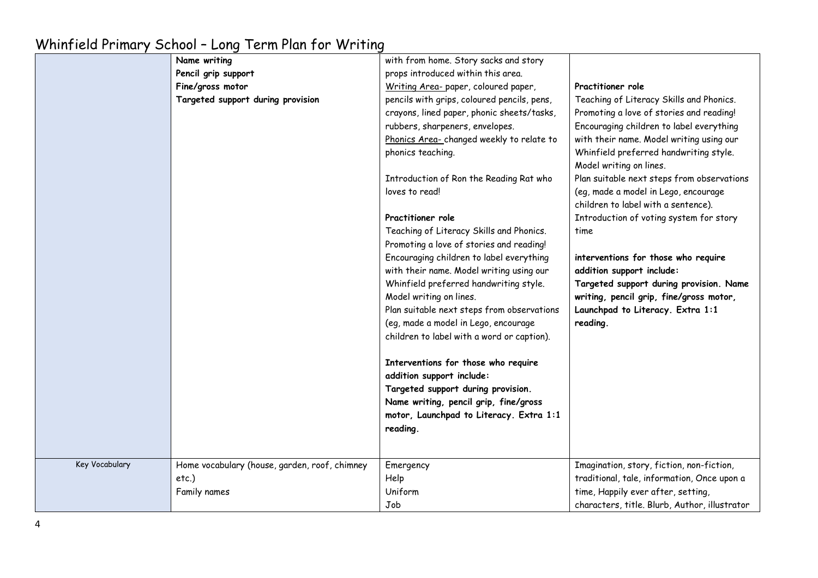|                | 0.0001                                        |                                             |                                               |
|----------------|-----------------------------------------------|---------------------------------------------|-----------------------------------------------|
|                | Name writing                                  | with from home. Story sacks and story       |                                               |
|                | Pencil grip support                           | props introduced within this area.          |                                               |
|                | Fine/gross motor                              | Writing Area- paper, coloured paper,        | Practitioner role                             |
|                | Targeted support during provision             | pencils with grips, coloured pencils, pens, | Teaching of Literacy Skills and Phonics.      |
|                |                                               | crayons, lined paper, phonic sheets/tasks,  | Promoting a love of stories and reading!      |
|                |                                               | rubbers, sharpeners, envelopes.             | Encouraging children to label everything      |
|                |                                               | Phonics Area-changed weekly to relate to    | with their name. Model writing using our      |
|                |                                               | phonics teaching.                           | Whinfield preferred handwriting style.        |
|                |                                               |                                             | Model writing on lines.                       |
|                |                                               | Introduction of Ron the Reading Rat who     | Plan suitable next steps from observations    |
|                |                                               | loves to read!                              | (eg, made a model in Lego, encourage          |
|                |                                               |                                             | children to label with a sentence).           |
|                |                                               | Practitioner role                           | Introduction of voting system for story       |
|                |                                               | Teaching of Literacy Skills and Phonics.    | time                                          |
|                |                                               | Promoting a love of stories and reading!    |                                               |
|                |                                               | Encouraging children to label everything    | interventions for those who require           |
|                |                                               | with their name. Model writing using our    | addition support include:                     |
|                |                                               | Whinfield preferred handwriting style.      | Targeted support during provision. Name       |
|                |                                               | Model writing on lines.                     | writing, pencil grip, fine/gross motor,       |
|                |                                               | Plan suitable next steps from observations  | Launchpad to Literacy. Extra 1:1              |
|                |                                               | (eg, made a model in Lego, encourage        | reading.                                      |
|                |                                               | children to label with a word or caption).  |                                               |
|                |                                               | Interventions for those who require         |                                               |
|                |                                               | addition support include:                   |                                               |
|                |                                               | Targeted support during provision.          |                                               |
|                |                                               | Name writing, pencil grip, fine/gross       |                                               |
|                |                                               | motor, Launchpad to Literacy. Extra 1:1     |                                               |
|                |                                               | reading.                                    |                                               |
|                |                                               |                                             |                                               |
|                |                                               |                                             |                                               |
| Key Vocabulary | Home vocabulary (house, garden, roof, chimney | Emergency                                   | Imagination, story, fiction, non-fiction,     |
|                | etc.)                                         | Help                                        | traditional, tale, information, Once upon a   |
|                | Family names                                  | Uniform                                     | time, Happily ever after, setting,            |
|                |                                               | Job                                         | characters, title. Blurb, Author, illustrator |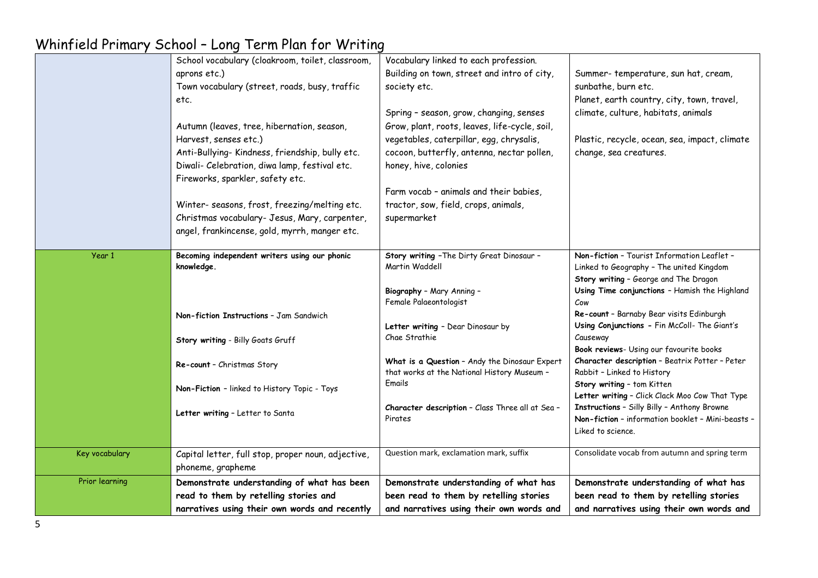|                | School vocabulary (cloakroom, toilet, classroom,   | Vocabulary linked to each profession.              |                                                          |
|----------------|----------------------------------------------------|----------------------------------------------------|----------------------------------------------------------|
|                | aprons etc.)                                       | Building on town, street and intro of city,        | Summer-temperature, sun hat, cream,                      |
|                | Town vocabulary (street, roads, busy, traffic      | society etc.                                       | sunbathe, burn etc.                                      |
|                | etc.                                               |                                                    | Planet, earth country, city, town, travel,               |
|                |                                                    | Spring - season, grow, changing, senses            | climate, culture, habitats, animals                      |
|                | Autumn (leaves, tree, hibernation, season,         | Grow, plant, roots, leaves, life-cycle, soil,      |                                                          |
|                | Harvest, senses etc.)                              | vegetables, caterpillar, egg, chrysalis,           | Plastic, recycle, ocean, sea, impact, climate            |
|                | Anti-Bullying-Kindness, friendship, bully etc.     | cocoon, butterfly, antenna, nectar pollen,         | change, sea creatures.                                   |
|                | Diwali- Celebration, diwa lamp, festival etc.      | honey, hive, colonies                              |                                                          |
|                | Fireworks, sparkler, safety etc.                   |                                                    |                                                          |
|                |                                                    | Farm vocab - animals and their babies,             |                                                          |
|                | Winter- seasons, frost, freezing/melting etc.      | tractor, sow, field, crops, animals,               |                                                          |
|                | Christmas vocabulary- Jesus, Mary, carpenter,      | supermarket                                        |                                                          |
|                | angel, frankincense, gold, myrrh, manger etc.      |                                                    |                                                          |
|                |                                                    |                                                    |                                                          |
| Year 1         | Becoming independent writers using our phonic      | Story writing - The Dirty Great Dinosaur -         | Non-fiction - Tourist Information Leaflet -              |
|                | knowledge.                                         | Martin Waddell                                     | Linked to Geography - The united Kingdom                 |
|                |                                                    |                                                    | Story writing - George and The Dragon                    |
|                |                                                    | Biography - Mary Anning -                          | Using Time conjunctions - Hamish the Highland            |
|                |                                                    | Female Palaeontologist                             | Cow                                                      |
|                | Non-fiction Instructions - Jam Sandwich            |                                                    | Re-count - Barnaby Bear visits Edinburgh                 |
|                |                                                    | Letter writing - Dear Dinosaur by<br>Chae Strathie | Using Conjunctions - Fin McColl- The Giant's<br>Causeway |
|                | Story writing - Billy Goats Gruff                  |                                                    | Book reviews- Using our favourite books                  |
|                |                                                    | What is a Question - Andy the Dinosaur Expert      | Character description - Beatrix Potter - Peter           |
|                | Re-count - Christmas Story                         | that works at the National History Museum -        | Rabbit - Linked to History                               |
|                |                                                    | Emails                                             | Story writing - tom Kitten                               |
|                | Non-Fiction - linked to History Topic - Toys       |                                                    | Letter writing - Click Clack Moo Cow That Type           |
|                | Letter writing - Letter to Santa                   | Character description - Class Three all at Sea -   | Instructions - Silly Billy - Anthony Browne              |
|                |                                                    | Pirates                                            | Non-fiction - information booklet - Mini-beasts -        |
|                |                                                    |                                                    | Liked to science.                                        |
| Key vocabulary | Capital letter, full stop, proper noun, adjective, | Question mark, exclamation mark, suffix            | Consolidate vocab from autumn and spring term            |
|                | phoneme, grapheme                                  |                                                    |                                                          |
| Prior learning | Demonstrate understanding of what has been         | Demonstrate understanding of what has              | Demonstrate understanding of what has                    |
|                | read to them by retelling stories and              | been read to them by retelling stories             | been read to them by retelling stories                   |
|                | narratives using their own words and recently      | and narratives using their own words and           | and narratives using their own words and                 |
|                |                                                    |                                                    |                                                          |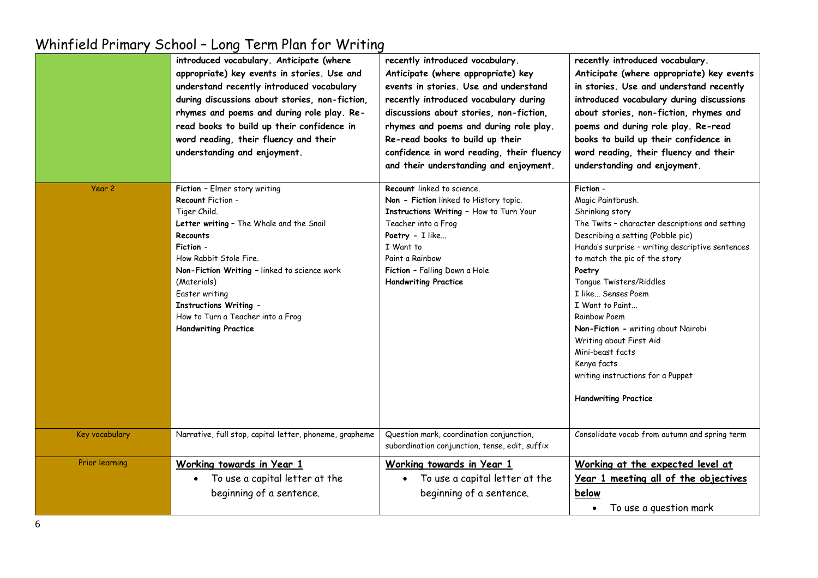|                       | introduced vocabulary. Anticipate (where<br>appropriate) key events in stories. Use and<br>understand recently introduced vocabulary<br>during discussions about stories, non-fiction,<br>rhymes and poems and during role play. Re-<br>read books to build up their confidence in<br>word reading, their fluency and their<br>understanding and enjoyment. | recently introduced vocabulary.<br>Anticipate (where appropriate) key<br>events in stories. Use and understand<br>recently introduced vocabulary during<br>discussions about stories, non-fiction,<br>rhymes and poems and during role play.<br>Re-read books to build up their<br>confidence in word reading, their fluency<br>and their understanding and enjoyment. | recently introduced vocabulary.<br>Anticipate (where appropriate) key events<br>in stories. Use and understand recently<br>introduced vocabulary during discussions<br>about stories, non-fiction, rhymes and<br>poems and during role play. Re-read<br>books to build up their confidence in<br>word reading, their fluency and their<br>understanding and enjoyment.                                                                                                                                      |
|-----------------------|-------------------------------------------------------------------------------------------------------------------------------------------------------------------------------------------------------------------------------------------------------------------------------------------------------------------------------------------------------------|------------------------------------------------------------------------------------------------------------------------------------------------------------------------------------------------------------------------------------------------------------------------------------------------------------------------------------------------------------------------|-------------------------------------------------------------------------------------------------------------------------------------------------------------------------------------------------------------------------------------------------------------------------------------------------------------------------------------------------------------------------------------------------------------------------------------------------------------------------------------------------------------|
| Year <sub>2</sub>     | Fiction - Elmer story writing<br>Recount Fiction -<br>Tiger Child.<br>Letter writing - The Whale and the Snail<br>Recounts<br>Fiction -<br>How Rabbit Stole Fire.<br>Non-Fiction Writing - linked to science work<br>(Materials)<br>Easter writing<br><b>Instructions Writing -</b><br>How to Turn a Teacher into a Frog<br><b>Handwriting Practice</b>     | Recount linked to science.<br>Non - Fiction linked to History topic.<br>Instructions Writing - How to Turn Your<br>Teacher into a Frog<br>Poetry - I like<br>I Want to<br>Paint a Rainbow<br>Fiction - Falling Down a Hole<br><b>Handwriting Practice</b>                                                                                                              | Fiction -<br>Magic Paintbrush.<br>Shrinking story<br>The Twits - character descriptions and setting<br>Describing a setting (Pobble pic)<br>Handa's surprise - writing descriptive sentences<br>to match the pic of the story<br>Poetry<br>Tongue Twisters/Riddles<br>I like Senses Poem<br>I Want to Paint<br><b>Rainbow Poem</b><br>Non-Fiction - writing about Nairobi<br>Writing about First Aid<br>Mini-beast facts<br>Kenya facts<br>writing instructions for a Puppet<br><b>Handwriting Practice</b> |
| Key vocabulary        | Narrative, full stop, capital letter, phoneme, grapheme                                                                                                                                                                                                                                                                                                     | Question mark, coordination conjunction,<br>subordination conjunction, tense, edit, suffix                                                                                                                                                                                                                                                                             | Consolidate vocab from autumn and spring term                                                                                                                                                                                                                                                                                                                                                                                                                                                               |
| <b>Prior learning</b> | Working towards in Year 1<br>To use a capital letter at the<br>$\bullet$<br>beginning of a sentence.                                                                                                                                                                                                                                                        | Working towards in Year 1<br>• To use a capital letter at the<br>beginning of a sentence.                                                                                                                                                                                                                                                                              | Working at the expected level at<br>Year 1 meeting all of the objectives<br>below<br>To use a question mark<br>$\bullet$                                                                                                                                                                                                                                                                                                                                                                                    |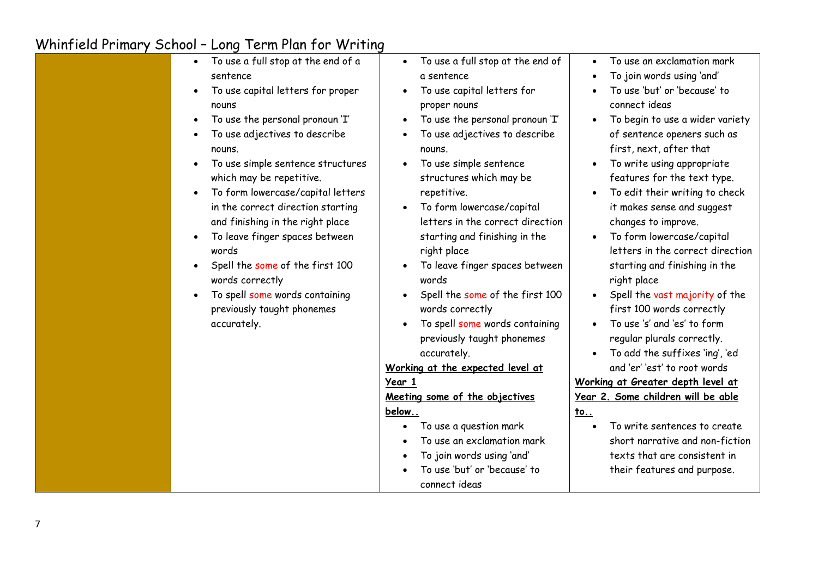| To use a full stop at the end of a<br>$\bullet$<br>sentence<br>To use capital letters for proper<br>$\bullet$<br>nouns<br>To use the personal pronoun 'I'<br>To use adjectives to describe<br>nouns.<br>To use simple sentence structures<br>$\bullet$<br>which may be repetitive.<br>To form lowercase/capital letters<br>$\bullet$<br>in the correct direction starting<br>and finishing in the right place | To use a full stop at the end of<br>$\bullet$<br>a sentence<br>To use capital letters for<br>proper nouns<br>To use the personal pronoun 'I'<br>To use adjectives to describe<br>nouns.<br>To use simple sentence<br>structures which may be<br>repetitive.<br>To form lowercase/capital<br>letters in the correct direction                                                                                                                                | To use an exclamation mark<br>To join words using 'and'<br>To use 'but' or 'because' to<br>connect ideas<br>To begin to use a wider variety<br>of sentence openers such as<br>first, next, after that<br>To write using appropriate<br>features for the text type.<br>To edit their writing to check<br>it makes sense and suggest<br>changes to improve.                                                                                                                                                                             |
|---------------------------------------------------------------------------------------------------------------------------------------------------------------------------------------------------------------------------------------------------------------------------------------------------------------------------------------------------------------------------------------------------------------|-------------------------------------------------------------------------------------------------------------------------------------------------------------------------------------------------------------------------------------------------------------------------------------------------------------------------------------------------------------------------------------------------------------------------------------------------------------|---------------------------------------------------------------------------------------------------------------------------------------------------------------------------------------------------------------------------------------------------------------------------------------------------------------------------------------------------------------------------------------------------------------------------------------------------------------------------------------------------------------------------------------|
| To leave finger spaces between<br>words<br>Spell the some of the first 100<br>$\bullet$<br>words correctly<br>To spell some words containing<br>$\bullet$<br>previously taught phonemes<br>accurately.                                                                                                                                                                                                        | starting and finishing in the<br>right place<br>To leave finger spaces between<br>words<br>Spell the some of the first 100<br>words correctly<br>To spell some words containing<br>previously taught phonemes<br>accurately.<br>Working at the expected level at<br>Year 1<br>Meeting some of the objectives<br>below<br>To use a question mark<br>To use an exclamation mark<br>To join words using 'and'<br>To use 'but' or 'because' to<br>connect ideas | To form lowercase/capital<br>letters in the correct direction<br>starting and finishing in the<br>right place<br>Spell the vast majority of the<br>first 100 words correctly<br>To use 's' and 'es' to form<br>regular plurals correctly.<br>To add the suffixes 'ing', 'ed<br>and 'er' 'est' to root words<br>Working at Greater depth level at<br>Year 2. Some children will be able<br><u>to</u><br>To write sentences to create<br>short narrative and non-fiction<br>texts that are consistent in<br>their features and purpose. |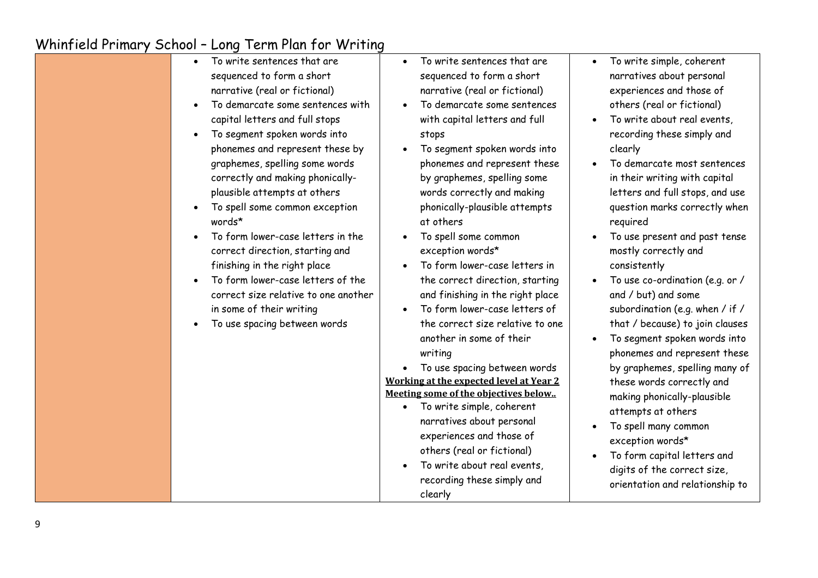| $\bullet$<br>$\bullet$<br>$\bullet$<br>$\bullet$<br>words*<br>$\bullet$ | To write sentences that are<br>sequenced to form a short<br>narrative (real or fictional)<br>To demarcate some sentences with<br>capital letters and full stops<br>To segment spoken words into<br>phonemes and represent these by<br>graphemes, spelling some words<br>correctly and making phonically-<br>plausible attempts at others<br>To spell some common exception<br>To form lower-case letters in the<br>correct direction, starting and<br>finishing in the right place<br>To form lower-case letters of the<br>correct size relative to one another<br>in some of their writing<br>To use spacing between words | To write sentences that are<br>$\bullet$<br>sequenced to form a short<br>narrative (real or fictional)<br>To demarcate some sentences<br>$\bullet$<br>with capital letters and full<br>stops<br>To segment spoken words into<br>phonemes and represent these<br>by graphemes, spelling some<br>words correctly and making<br>phonically-plausible attempts<br>at others<br>To spell some common<br>exception words*<br>To form lower-case letters in<br>the correct direction, starting<br>and finishing in the right place<br>To form lower-case letters of<br>$\bullet$<br>the correct size relative to one<br>another in some of their<br>writing<br>To use spacing between words<br>Working at the expected level at Year 2<br>Meeting some of the objectives below<br>To write simple, coherent<br>$\bullet$<br>narratives about personal<br>experiences and those of<br>others (real or fictional)<br>To write about real events,<br>recording these simply and<br>clearly | To write simple, coherent<br>narratives about personal<br>experiences and those of<br>others (real or fictional)<br>To write about real events,<br>recording these simply and<br>clearly<br>To demarcate most sentences<br>in their writing with capital<br>letters and full stops, and use<br>question marks correctly when<br>required<br>To use present and past tense<br>mostly correctly and<br>consistently<br>To use co-ordination (e.g. or /<br>and / but) and some<br>subordination (e.g. when / if /<br>that / because) to join clauses<br>To segment spoken words into<br>phonemes and represent these<br>by graphemes, spelling many of<br>these words correctly and<br>making phonically-plausible<br>attempts at others<br>To spell many common<br>exception words*<br>To form capital letters and<br>digits of the correct size,<br>orientation and relationship to |
|-------------------------------------------------------------------------|-----------------------------------------------------------------------------------------------------------------------------------------------------------------------------------------------------------------------------------------------------------------------------------------------------------------------------------------------------------------------------------------------------------------------------------------------------------------------------------------------------------------------------------------------------------------------------------------------------------------------------|----------------------------------------------------------------------------------------------------------------------------------------------------------------------------------------------------------------------------------------------------------------------------------------------------------------------------------------------------------------------------------------------------------------------------------------------------------------------------------------------------------------------------------------------------------------------------------------------------------------------------------------------------------------------------------------------------------------------------------------------------------------------------------------------------------------------------------------------------------------------------------------------------------------------------------------------------------------------------------|------------------------------------------------------------------------------------------------------------------------------------------------------------------------------------------------------------------------------------------------------------------------------------------------------------------------------------------------------------------------------------------------------------------------------------------------------------------------------------------------------------------------------------------------------------------------------------------------------------------------------------------------------------------------------------------------------------------------------------------------------------------------------------------------------------------------------------------------------------------------------------|
|-------------------------------------------------------------------------|-----------------------------------------------------------------------------------------------------------------------------------------------------------------------------------------------------------------------------------------------------------------------------------------------------------------------------------------------------------------------------------------------------------------------------------------------------------------------------------------------------------------------------------------------------------------------------------------------------------------------------|----------------------------------------------------------------------------------------------------------------------------------------------------------------------------------------------------------------------------------------------------------------------------------------------------------------------------------------------------------------------------------------------------------------------------------------------------------------------------------------------------------------------------------------------------------------------------------------------------------------------------------------------------------------------------------------------------------------------------------------------------------------------------------------------------------------------------------------------------------------------------------------------------------------------------------------------------------------------------------|------------------------------------------------------------------------------------------------------------------------------------------------------------------------------------------------------------------------------------------------------------------------------------------------------------------------------------------------------------------------------------------------------------------------------------------------------------------------------------------------------------------------------------------------------------------------------------------------------------------------------------------------------------------------------------------------------------------------------------------------------------------------------------------------------------------------------------------------------------------------------------|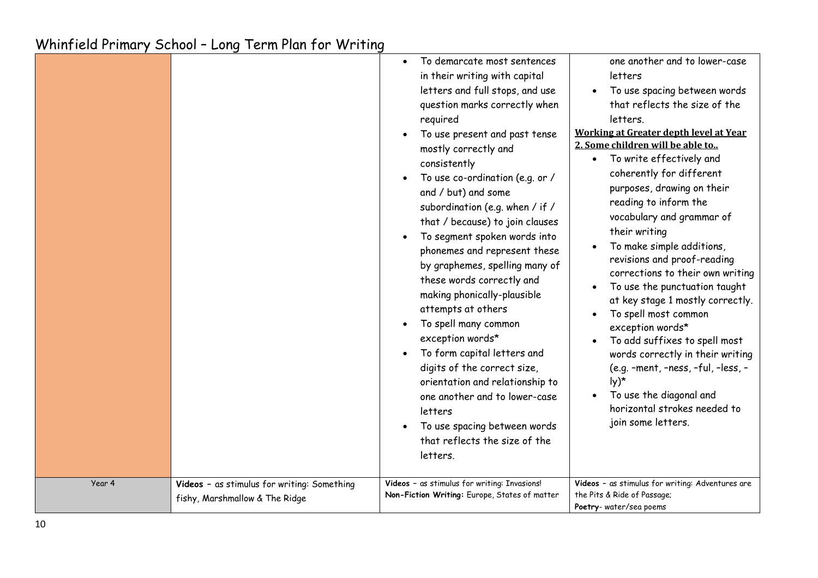| Year 4 | Videos - as stimulus for writing: Something | To demarcate most sentences<br>in their writing with capital<br>letters and full stops, and use<br>question marks correctly when<br>required<br>To use present and past tense<br>mostly correctly and<br>consistently<br>To use co-ordination (e.g. or /<br>and / but) and some<br>subordination (e.g. when / if /<br>that / because) to join clauses<br>To segment spoken words into<br>phonemes and represent these<br>by graphemes, spelling many of<br>these words correctly and<br>making phonically-plausible<br>attempts at others<br>To spell many common<br>exception words*<br>To form capital letters and<br>digits of the correct size,<br>orientation and relationship to<br>one another and to lower-case<br>letters<br>To use spacing between words<br>that reflects the size of the<br>letters.<br>Videos - as stimulus for writing: Invasions! | one another and to lower-case<br>letters<br>To use spacing between words<br>that reflects the size of the<br>letters.<br>Working at Greater depth level at Year<br>2. Some children will be able to<br>To write effectively and<br>$\bullet$<br>coherently for different<br>purposes, drawing on their<br>reading to inform the<br>vocabulary and grammar of<br>their writing<br>To make simple additions,<br>revisions and proof-reading<br>corrections to their own writing<br>To use the punctuation taught<br>at key stage 1 mostly correctly.<br>To spell most common<br>exception words*<br>To add suffixes to spell most<br>words correctly in their writing<br>(e.g. -ment, -ness, -ful, -less, -<br>$Iy)^*$<br>To use the diagonal and<br>horizontal strokes needed to<br>join some letters.<br>Videos - as stimulus for writing: Adventures are |
|--------|---------------------------------------------|-----------------------------------------------------------------------------------------------------------------------------------------------------------------------------------------------------------------------------------------------------------------------------------------------------------------------------------------------------------------------------------------------------------------------------------------------------------------------------------------------------------------------------------------------------------------------------------------------------------------------------------------------------------------------------------------------------------------------------------------------------------------------------------------------------------------------------------------------------------------|-----------------------------------------------------------------------------------------------------------------------------------------------------------------------------------------------------------------------------------------------------------------------------------------------------------------------------------------------------------------------------------------------------------------------------------------------------------------------------------------------------------------------------------------------------------------------------------------------------------------------------------------------------------------------------------------------------------------------------------------------------------------------------------------------------------------------------------------------------------|
|        | fishy, Marshmallow & The Ridge              | Non-Fiction Writing: Europe, States of matter                                                                                                                                                                                                                                                                                                                                                                                                                                                                                                                                                                                                                                                                                                                                                                                                                   | the Pits & Ride of Passage;<br>Poetry-water/sea poems                                                                                                                                                                                                                                                                                                                                                                                                                                                                                                                                                                                                                                                                                                                                                                                                     |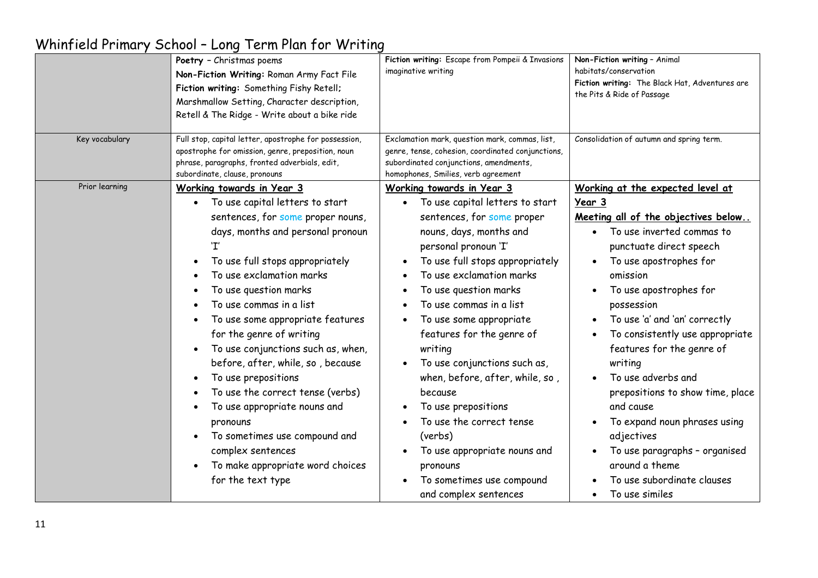|                | Poetry - Christmas poems<br>Non-Fiction Writing: Roman Army Fact File<br>Fiction writing: Something Fishy Retell;<br>Marshmallow Setting, Character description,<br>Retell & The Ridge - Write about a bike ride                                                                                                                                                                                                                                                                                                                                                                                                           | Fiction writing: Escape from Pompeii & Invasions<br>imaginative writing                                                                                                                                                                                                                                                                                                                                                                                                                                                                                                           | Non-Fiction writing - Animal<br>habitats/conservation<br>Fiction writing: The Black Hat, Adventures are<br>the Pits & Ride of Passage                                                                                                                                                                                                                                                                                                                                                                                                                              |
|----------------|----------------------------------------------------------------------------------------------------------------------------------------------------------------------------------------------------------------------------------------------------------------------------------------------------------------------------------------------------------------------------------------------------------------------------------------------------------------------------------------------------------------------------------------------------------------------------------------------------------------------------|-----------------------------------------------------------------------------------------------------------------------------------------------------------------------------------------------------------------------------------------------------------------------------------------------------------------------------------------------------------------------------------------------------------------------------------------------------------------------------------------------------------------------------------------------------------------------------------|--------------------------------------------------------------------------------------------------------------------------------------------------------------------------------------------------------------------------------------------------------------------------------------------------------------------------------------------------------------------------------------------------------------------------------------------------------------------------------------------------------------------------------------------------------------------|
| Key vocabulary | Full stop, capital letter, apostrophe for possession,<br>apostrophe for omission, genre, preposition, noun<br>phrase, paragraphs, fronted adverbials, edit,<br>subordinate, clause, pronouns                                                                                                                                                                                                                                                                                                                                                                                                                               | Exclamation mark, question mark, commas, list,<br>genre, tense, cohesion, coordinated conjunctions,<br>subordinated conjunctions, amendments,<br>homophones, Smilies, verb agreement                                                                                                                                                                                                                                                                                                                                                                                              | Consolidation of autumn and spring term.                                                                                                                                                                                                                                                                                                                                                                                                                                                                                                                           |
| Prior learning | Working towards in Year 3<br>To use capital letters to start<br>sentences, for some proper nouns,<br>days, months and personal pronoun<br>To use full stops appropriately<br>To use exclamation marks<br>To use question marks<br>To use commas in a list<br>To use some appropriate features<br>for the genre of writing<br>To use conjunctions such as, when,<br>before, after, while, so, because<br>To use prepositions<br>To use the correct tense (verbs)<br>To use appropriate nouns and<br>pronouns<br>To sometimes use compound and<br>complex sentences<br>To make appropriate word choices<br>for the text type | Working towards in Year 3<br>To use capital letters to start<br>sentences, for some proper<br>nouns, days, months and<br>personal pronoun 'I'<br>To use full stops appropriately<br>To use exclamation marks<br>To use question marks<br>To use commas in a list<br>To use some appropriate<br>features for the genre of<br>writing<br>To use conjunctions such as,<br>when, before, after, while, so,<br>because<br>To use prepositions<br>To use the correct tense<br>(verbs)<br>To use appropriate nouns and<br>pronouns<br>To sometimes use compound<br>and complex sentences | Working at the expected level at<br><u>Year 3</u><br>Meeting all of the objectives below<br>To use inverted commas to<br>punctuate direct speech<br>To use apostrophes for<br>omission<br>To use apostrophes for<br>possession<br>To use 'a' and 'an' correctly<br>To consistently use appropriate<br>features for the genre of<br>writing<br>To use adverbs and<br>prepositions to show time, place<br>and cause<br>To expand noun phrases using<br>adjectives<br>To use paragraphs - organised<br>around a theme<br>To use subordinate clauses<br>To use similes |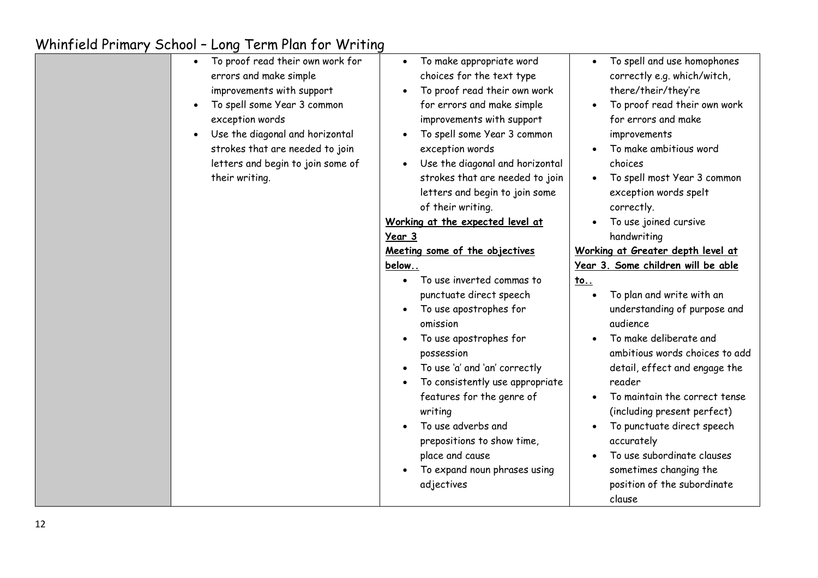| To proof read their own work for<br>errors and make simple<br>improvements with support<br>To spell some Year 3 common<br>$\bullet$<br>exception words<br>Use the diagonal and horizontal | To make appropriate word<br>$\bullet$<br>choices for the text type<br>To proof read their own work<br>$\bullet$<br>for errors and make simple<br>improvements with support<br>To spell some Year 3 common<br>$\bullet$                                                                                                                                                                        | To spell and use homophones<br>correctly e.g. which/witch,<br>there/their/they're<br>To proof read their own work<br>for errors and make<br>improvements                                                                                                                                                                                                                                               |
|-------------------------------------------------------------------------------------------------------------------------------------------------------------------------------------------|-----------------------------------------------------------------------------------------------------------------------------------------------------------------------------------------------------------------------------------------------------------------------------------------------------------------------------------------------------------------------------------------------|--------------------------------------------------------------------------------------------------------------------------------------------------------------------------------------------------------------------------------------------------------------------------------------------------------------------------------------------------------------------------------------------------------|
| strokes that are needed to join<br>letters and begin to join some of                                                                                                                      | exception words<br>Use the diagonal and horizontal<br>$\bullet$                                                                                                                                                                                                                                                                                                                               | To make ambitious word<br>choices                                                                                                                                                                                                                                                                                                                                                                      |
| their writing.                                                                                                                                                                            | strokes that are needed to join<br>letters and begin to join some<br>of their writing.                                                                                                                                                                                                                                                                                                        | To spell most Year 3 common<br>exception words spelt<br>correctly.                                                                                                                                                                                                                                                                                                                                     |
|                                                                                                                                                                                           | Working at the expected level at                                                                                                                                                                                                                                                                                                                                                              | To use joined cursive                                                                                                                                                                                                                                                                                                                                                                                  |
|                                                                                                                                                                                           | Year 3                                                                                                                                                                                                                                                                                                                                                                                        | handwriting                                                                                                                                                                                                                                                                                                                                                                                            |
|                                                                                                                                                                                           | Meeting some of the objectives                                                                                                                                                                                                                                                                                                                                                                | Working at Greater depth level at                                                                                                                                                                                                                                                                                                                                                                      |
|                                                                                                                                                                                           | below                                                                                                                                                                                                                                                                                                                                                                                         | Year 3. Some children will be able                                                                                                                                                                                                                                                                                                                                                                     |
|                                                                                                                                                                                           | To use inverted commas to<br>punctuate direct speech<br>To use apostrophes for<br>omission<br>To use apostrophes for<br>possession<br>To use 'a' and 'an' correctly<br>$\bullet$<br>To consistently use appropriate<br>$\bullet$<br>features for the genre of<br>writing<br>To use adverbs and<br>prepositions to show time,<br>place and cause<br>To expand noun phrases using<br>adjectives | <u>to</u><br>To plan and write with an<br>understanding of purpose and<br>audience<br>To make deliberate and<br>ambitious words choices to add<br>detail, effect and engage the<br>reader<br>To maintain the correct tense<br>(including present perfect)<br>To punctuate direct speech<br>accurately<br>To use subordinate clauses<br>sometimes changing the<br>position of the subordinate<br>clause |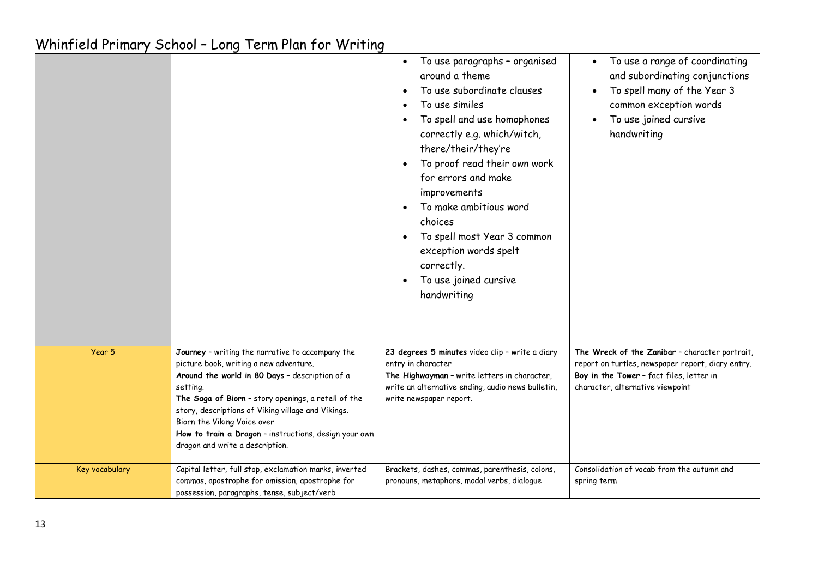|                |                                                                                                                                                                                                                                                                                                                                                                                                  | To use paragraphs - organised<br>around a theme<br>To use subordinate clauses<br>To use similes<br>To spell and use homophones<br>correctly e.g. which/witch,<br>there/their/they're<br>To proof read their own work<br>for errors and make<br>improvements<br>To make ambitious word<br>choices<br>To spell most Year 3 common<br>exception words spelt<br>correctly.<br>To use joined cursive<br>handwriting | To use a range of coordinating<br>and subordinating conjunctions<br>To spell many of the Year 3<br>common exception words<br>To use joined cursive<br>handwriting                   |
|----------------|--------------------------------------------------------------------------------------------------------------------------------------------------------------------------------------------------------------------------------------------------------------------------------------------------------------------------------------------------------------------------------------------------|----------------------------------------------------------------------------------------------------------------------------------------------------------------------------------------------------------------------------------------------------------------------------------------------------------------------------------------------------------------------------------------------------------------|-------------------------------------------------------------------------------------------------------------------------------------------------------------------------------------|
| Year 5         | Journey - writing the narrative to accompany the<br>picture book, writing a new adventure.<br>Around the world in 80 Days - description of a<br>setting.<br>The Saga of Biorn - story openings, a retell of the<br>story, descriptions of Viking village and Vikings.<br>Biorn the Viking Voice over<br>How to train a Dragon - instructions, design your own<br>dragon and write a description. | 23 degrees 5 minutes video clip - write a diary<br>entry in character<br>The Highwayman - write letters in character,<br>write an alternative ending, audio news bulletin,<br>write newspaper report.                                                                                                                                                                                                          | The Wreck of the Zanibar - character portrait,<br>report on turtles, newspaper report, diary entry.<br>Boy in the Tower - fact files, letter in<br>character, alternative viewpoint |
| Key vocabulary | Capital letter, full stop, exclamation marks, inverted<br>commas, apostrophe for omission, apostrophe for<br>possession, paragraphs, tense, subject/verb                                                                                                                                                                                                                                         | Brackets, dashes, commas, parenthesis, colons,<br>pronouns, metaphors, modal verbs, dialogue                                                                                                                                                                                                                                                                                                                   | Consolidation of vocab from the autumn and<br>spring term                                                                                                                           |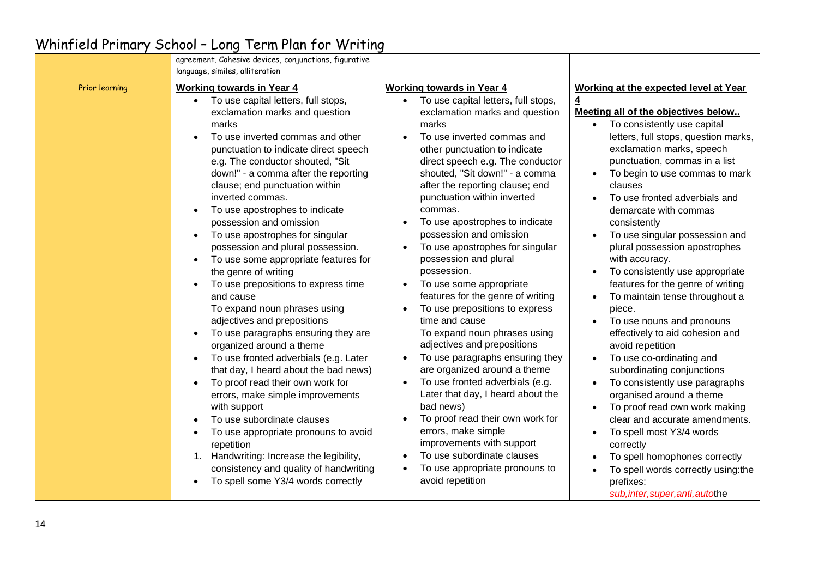|                | agreement. Cohesive devices, conjunctions, figurative<br>language, similes, alliteration                                                                                                                                                                                                                                                                                                                                                                                                                                                                                                                                                                                                                                                                                                                                                                                                                                                                                                                                                                                                                                                                                |                                                                                                                                                                                                                                                                                                                                                                                                                                                                                                                                                                                                                                                                                                                                                                                                                                                                                                                                                                                                                                 |                                                                                                                                                                                                                                                                                                                                                                                                                                                                                                                                                                                                                                                                                                                                                                                                                                                                                                                                                                                                                                           |
|----------------|-------------------------------------------------------------------------------------------------------------------------------------------------------------------------------------------------------------------------------------------------------------------------------------------------------------------------------------------------------------------------------------------------------------------------------------------------------------------------------------------------------------------------------------------------------------------------------------------------------------------------------------------------------------------------------------------------------------------------------------------------------------------------------------------------------------------------------------------------------------------------------------------------------------------------------------------------------------------------------------------------------------------------------------------------------------------------------------------------------------------------------------------------------------------------|---------------------------------------------------------------------------------------------------------------------------------------------------------------------------------------------------------------------------------------------------------------------------------------------------------------------------------------------------------------------------------------------------------------------------------------------------------------------------------------------------------------------------------------------------------------------------------------------------------------------------------------------------------------------------------------------------------------------------------------------------------------------------------------------------------------------------------------------------------------------------------------------------------------------------------------------------------------------------------------------------------------------------------|-------------------------------------------------------------------------------------------------------------------------------------------------------------------------------------------------------------------------------------------------------------------------------------------------------------------------------------------------------------------------------------------------------------------------------------------------------------------------------------------------------------------------------------------------------------------------------------------------------------------------------------------------------------------------------------------------------------------------------------------------------------------------------------------------------------------------------------------------------------------------------------------------------------------------------------------------------------------------------------------------------------------------------------------|
| Prior learning | <b>Working towards in Year 4</b><br>To use capital letters, full stops,<br>exclamation marks and question<br>marks<br>To use inverted commas and other<br>punctuation to indicate direct speech<br>e.g. The conductor shouted, "Sit<br>down!" - a comma after the reporting<br>clause; end punctuation within<br>inverted commas.<br>To use apostrophes to indicate<br>possession and omission<br>To use apostrophes for singular<br>$\bullet$<br>possession and plural possession.<br>To use some appropriate features for<br>$\bullet$<br>the genre of writing<br>To use prepositions to express time<br>and cause<br>To expand noun phrases using<br>adjectives and prepositions<br>To use paragraphs ensuring they are<br>$\bullet$<br>organized around a theme<br>To use fronted adverbials (e.g. Later<br>that day, I heard about the bad news)<br>To proof read their own work for<br>$\bullet$<br>errors, make simple improvements<br>with support<br>To use subordinate clauses<br>To use appropriate pronouns to avoid<br>repetition<br>Handwriting: Increase the legibility,<br>consistency and quality of handwriting<br>To spell some Y3/4 words correctly | <b>Working towards in Year 4</b><br>• To use capital letters, full stops,<br>exclamation marks and question<br>marks<br>To use inverted commas and<br>other punctuation to indicate<br>direct speech e.g. The conductor<br>shouted, "Sit down!" - a comma<br>after the reporting clause; end<br>punctuation within inverted<br>commas.<br>To use apostrophes to indicate<br>possession and omission<br>To use apostrophes for singular<br>possession and plural<br>possession.<br>To use some appropriate<br>$\bullet$<br>features for the genre of writing<br>To use prepositions to express<br>time and cause<br>To expand noun phrases using<br>adjectives and prepositions<br>To use paragraphs ensuring they<br>$\bullet$<br>are organized around a theme<br>To use fronted adverbials (e.g.<br>Later that day, I heard about the<br>bad news)<br>To proof read their own work for<br>errors, make simple<br>improvements with support<br>To use subordinate clauses<br>To use appropriate pronouns to<br>avoid repetition | Working at the expected level at Year<br>$\overline{\mathbf{4}}$<br>Meeting all of the objectives below<br>To consistently use capital<br>$\bullet$<br>letters, full stops, question marks,<br>exclamation marks, speech<br>punctuation, commas in a list<br>To begin to use commas to mark<br>clauses<br>To use fronted adverbials and<br>demarcate with commas<br>consistently<br>To use singular possession and<br>plural possession apostrophes<br>with accuracy.<br>To consistently use appropriate<br>features for the genre of writing<br>To maintain tense throughout a<br>piece.<br>To use nouns and pronouns<br>effectively to aid cohesion and<br>avoid repetition<br>To use co-ordinating and<br>subordinating conjunctions<br>To consistently use paragraphs<br>organised around a theme<br>To proof read own work making<br>clear and accurate amendments.<br>To spell most Y3/4 words<br>correctly<br>To spell homophones correctly<br>To spell words correctly using:the<br>prefixes:<br>sub, inter, super, anti, autothe |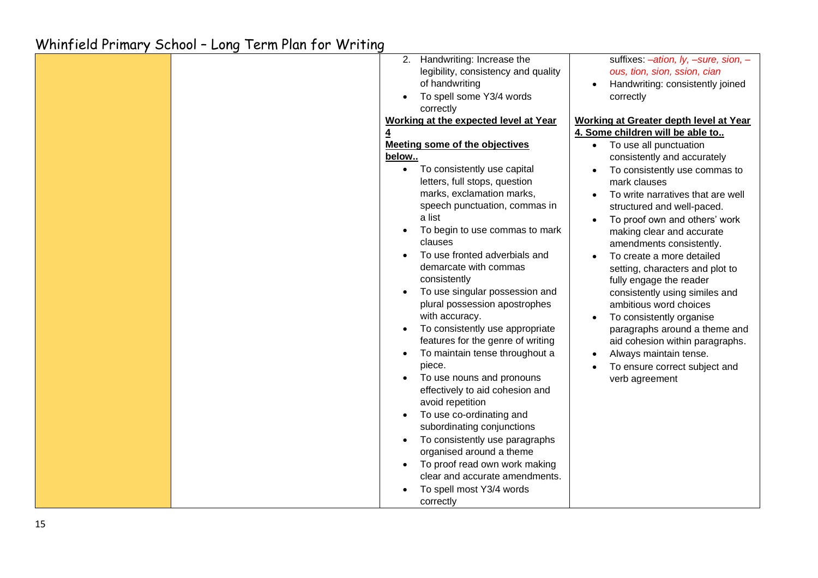|  | 2.        | Handwriting: Increase the             |           | suffixes: -ation, ly, -sure, sion, -          |
|--|-----------|---------------------------------------|-----------|-----------------------------------------------|
|  |           | legibility, consistency and quality   |           | ous, tion, sion, ssion, cian                  |
|  |           | of handwriting                        |           | Handwriting: consistently joined              |
|  |           | To spell some Y3/4 words              |           | correctly                                     |
|  |           | correctly                             |           |                                               |
|  |           | Working at the expected level at Year |           | <b>Working at Greater depth level at Year</b> |
|  |           |                                       |           | 4. Some children will be able to              |
|  |           | <b>Meeting some of the objectives</b> |           | To use all punctuation                        |
|  | below     |                                       |           | consistently and accurately                   |
|  | $\bullet$ | To consistently use capital           | $\bullet$ | To consistently use commas to                 |
|  |           | letters, full stops, question         |           | mark clauses                                  |
|  |           | marks, exclamation marks,             |           | To write narratives that are well             |
|  |           | speech punctuation, commas in         |           | structured and well-paced.                    |
|  |           | a list                                |           | To proof own and others' work                 |
|  |           | To begin to use commas to mark        |           | making clear and accurate                     |
|  |           | clauses                               |           | amendments consistently.                      |
|  |           | To use fronted adverbials and         |           | To create a more detailed                     |
|  |           | demarcate with commas                 |           | setting, characters and plot to               |
|  |           | consistently                          |           | fully engage the reader                       |
|  |           | To use singular possession and        |           | consistently using similes and                |
|  |           | plural possession apostrophes         |           | ambitious word choices                        |
|  |           | with accuracy.                        |           | To consistently organise                      |
|  |           | To consistently use appropriate       |           | paragraphs around a theme and                 |
|  |           | features for the genre of writing     |           | aid cohesion within paragraphs.               |
|  | $\bullet$ | To maintain tense throughout a        |           | Always maintain tense.                        |
|  |           | piece.                                |           | To ensure correct subject and                 |
|  |           | To use nouns and pronouns             |           | verb agreement                                |
|  |           | effectively to aid cohesion and       |           |                                               |
|  |           | avoid repetition                      |           |                                               |
|  |           | To use co-ordinating and              |           |                                               |
|  |           | subordinating conjunctions            |           |                                               |
|  |           | To consistently use paragraphs        |           |                                               |
|  |           | organised around a theme              |           |                                               |
|  |           | To proof read own work making         |           |                                               |
|  |           | clear and accurate amendments.        |           |                                               |
|  |           | To spell most Y3/4 words              |           |                                               |
|  |           | correctly                             |           |                                               |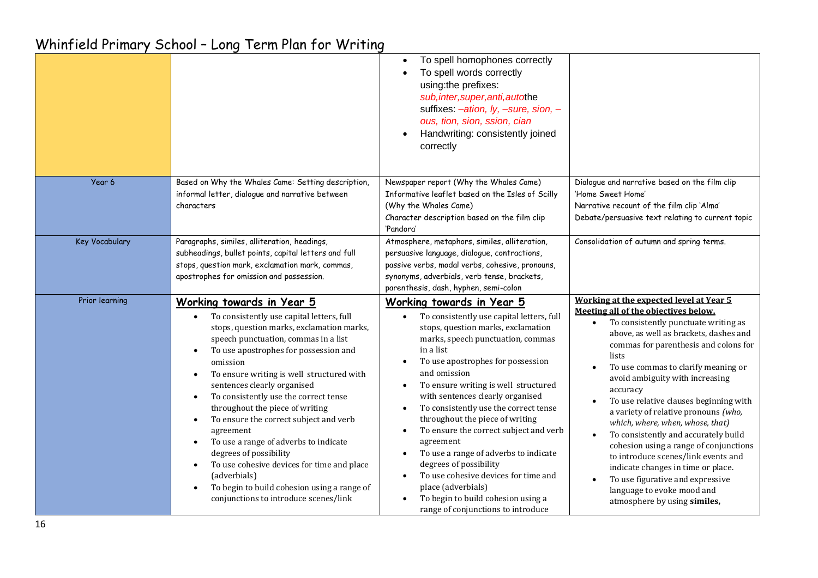|                |                                                                                                                                                                                                                                                                                                                                                                                                                                                                                                                                                                                                                                                                                                                                                     | To spell homophones correctly<br>To spell words correctly<br>using:the prefixes:<br>sub, inter, super, anti, autothe<br>suffixes: -ation, ly, -sure, sion, -<br>ous, tion, sion, ssion, cian<br>Handwriting: consistently joined<br>correctly                                                                                                                                                                                                                                                                                                                                                                                                                                          |                                                                                                                                                                                                                                                                                                                                                                                                                                                                                                                                                                                                                                                                                                  |
|----------------|-----------------------------------------------------------------------------------------------------------------------------------------------------------------------------------------------------------------------------------------------------------------------------------------------------------------------------------------------------------------------------------------------------------------------------------------------------------------------------------------------------------------------------------------------------------------------------------------------------------------------------------------------------------------------------------------------------------------------------------------------------|----------------------------------------------------------------------------------------------------------------------------------------------------------------------------------------------------------------------------------------------------------------------------------------------------------------------------------------------------------------------------------------------------------------------------------------------------------------------------------------------------------------------------------------------------------------------------------------------------------------------------------------------------------------------------------------|--------------------------------------------------------------------------------------------------------------------------------------------------------------------------------------------------------------------------------------------------------------------------------------------------------------------------------------------------------------------------------------------------------------------------------------------------------------------------------------------------------------------------------------------------------------------------------------------------------------------------------------------------------------------------------------------------|
| Year 6         | Based on Why the Whales Came: Setting description,<br>informal letter, dialogue and narrative between<br>characters                                                                                                                                                                                                                                                                                                                                                                                                                                                                                                                                                                                                                                 | Newspaper report (Why the Whales Came)<br>Informative leaflet based on the Isles of Scilly<br>(Why the Whales Came)<br>Character description based on the film clip<br>'Pandora'                                                                                                                                                                                                                                                                                                                                                                                                                                                                                                       | Dialogue and narrative based on the film clip<br>'Home Sweet Home'<br>Narrative recount of the film clip 'Alma'<br>Debate/persuasive text relating to current topic                                                                                                                                                                                                                                                                                                                                                                                                                                                                                                                              |
| Key Vocabulary | Paragraphs, similes, alliteration, headings,<br>subheadings, bullet points, capital letters and full<br>stops, question mark, exclamation mark, commas,<br>apostrophes for omission and possession.                                                                                                                                                                                                                                                                                                                                                                                                                                                                                                                                                 | Atmosphere, metaphors, similes, alliteration,<br>persuasive language, dialogue, contractions,<br>passive verbs, modal verbs, cohesive, pronouns,<br>synonyms, adverbials, verb tense, brackets,<br>parenthesis, dash, hyphen, semi-colon                                                                                                                                                                                                                                                                                                                                                                                                                                               | Consolidation of autumn and spring terms.                                                                                                                                                                                                                                                                                                                                                                                                                                                                                                                                                                                                                                                        |
| Prior learning | Working towards in Year 5<br>To consistently use capital letters, full<br>stops, question marks, exclamation marks,<br>speech punctuation, commas in a list<br>To use apostrophes for possession and<br>$\bullet$<br>omission<br>To ensure writing is well structured with<br>$\bullet$<br>sentences clearly organised<br>To consistently use the correct tense<br>$\bullet$<br>throughout the piece of writing<br>To ensure the correct subject and verb<br>$\bullet$<br>agreement<br>To use a range of adverbs to indicate<br>$\bullet$<br>degrees of possibility<br>To use cohesive devices for time and place<br>$\bullet$<br>(adverbials)<br>To begin to build cohesion using a range of<br>$\bullet$<br>conjunctions to introduce scenes/link | Working towards in Year 5<br>To consistently use capital letters, full<br>stops, question marks, exclamation<br>marks, speech punctuation, commas<br>in a list<br>To use apostrophes for possession<br>and omission<br>To ensure writing is well structured<br>with sentences clearly organised<br>To consistently use the correct tense<br>$\bullet$<br>throughout the piece of writing<br>To ensure the correct subject and verb<br>$\bullet$<br>agreement<br>To use a range of adverbs to indicate<br>$\bullet$<br>degrees of possibility<br>To use cohesive devices for time and<br>place (adverbials)<br>To begin to build cohesion using a<br>range of conjunctions to introduce | Working at the expected level at Year 5<br>Meeting all of the objectives below.<br>To consistently punctuate writing as<br>above, as well as brackets, dashes and<br>commas for parenthesis and colons for<br>lists<br>To use commas to clarify meaning or<br>avoid ambiguity with increasing<br>accuracy<br>To use relative clauses beginning with<br>a variety of relative pronouns (who,<br>which, where, when, whose, that)<br>To consistently and accurately build<br>cohesion using a range of conjunctions<br>to introduce scenes/link events and<br>indicate changes in time or place.<br>To use figurative and expressive<br>language to evoke mood and<br>atmosphere by using similes, |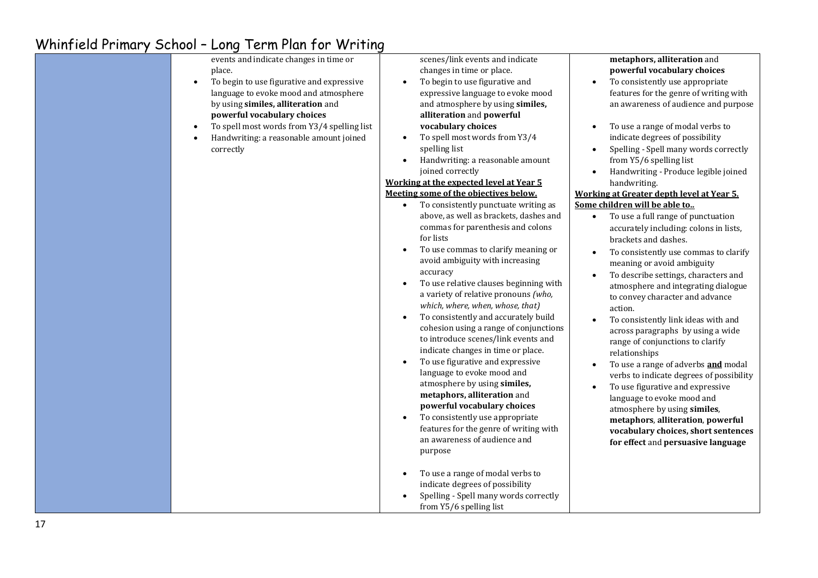| events and indicate changes in time or<br>place.<br>To begin to use figurative and expressive<br>language to evoke mood and atmosphere<br>by using similes, alliteration and<br>powerful vocabulary choices<br>To spell most words from Y3/4 spelling list<br>$\bullet$<br>Handwriting: a reasonable amount joined<br>$\bullet$<br>correctly | scenes/link events and indicate<br>changes in time or place.<br>To begin to use figurative and<br>expressive language to evoke mood<br>and atmosphere by using similes,<br>alliteration and powerful<br>vocabulary choices<br>To spell most words from Y3/4<br>spelling list<br>Handwriting: a reasonable amount<br>$\bullet$<br>joined correctly<br>Working at the expected level at Year 5<br>Meeting some of the objectives below.<br>To consistently punctuate writing as<br>above, as well as brackets, dashes and<br>commas for parenthesis and colons<br>for lists<br>To use commas to clarify meaning or<br>avoid ambiguity with increasing<br>accuracy<br>To use relative clauses beginning with<br>a variety of relative pronouns (who,<br>which, where, when, whose, that)<br>To consistently and accurately build<br>cohesion using a range of conjunctions<br>to introduce scenes/link events and<br>indicate changes in time or place.<br>To use figurative and expressive<br>language to evoke mood and<br>atmosphere by using similes,<br>metaphors, alliteration and<br>powerful vocabulary choices<br>To consistently use appropriate<br>features for the genre of writing with<br>an awareness of audience and<br>purpose<br>To use a range of modal verbs to<br>indicate degrees of possibility<br>Spelling - Spell many words correctly | metaphors, alliteration and<br>powerful vocabulary choices<br>To consistently use appropriate<br>features for the genre of writing with<br>an awareness of audience and purpose<br>To use a range of modal verbs to<br>$\bullet$<br>indicate degrees of possibility<br>Spelling - Spell many words correctly<br>from Y5/6 spelling list<br>Handwriting - Produce legible joined<br>$\bullet$<br>handwriting.<br>Working at Greater depth level at Year 5.<br>Some children will be able to<br>To use a full range of punctuation<br>$\bullet$<br>accurately including: colons in lists,<br>brackets and dashes.<br>To consistently use commas to clarify<br>$\bullet$<br>meaning or avoid ambiguity<br>To describe settings, characters and<br>atmosphere and integrating dialogue<br>to convey character and advance<br>action.<br>To consistently link ideas with and<br>across paragraphs by using a wide<br>range of conjunctions to clarify<br>relationships<br>To use a range of adverbs and modal<br>$\bullet$<br>verbs to indicate degrees of possibility<br>To use figurative and expressive<br>language to evoke mood and<br>atmosphere by using similes,<br>metaphors, alliteration, powerful<br>vocabulary choices, short sentences<br>for effect and persuasive language |
|----------------------------------------------------------------------------------------------------------------------------------------------------------------------------------------------------------------------------------------------------------------------------------------------------------------------------------------------|--------------------------------------------------------------------------------------------------------------------------------------------------------------------------------------------------------------------------------------------------------------------------------------------------------------------------------------------------------------------------------------------------------------------------------------------------------------------------------------------------------------------------------------------------------------------------------------------------------------------------------------------------------------------------------------------------------------------------------------------------------------------------------------------------------------------------------------------------------------------------------------------------------------------------------------------------------------------------------------------------------------------------------------------------------------------------------------------------------------------------------------------------------------------------------------------------------------------------------------------------------------------------------------------------------------------------------------------------------------|---------------------------------------------------------------------------------------------------------------------------------------------------------------------------------------------------------------------------------------------------------------------------------------------------------------------------------------------------------------------------------------------------------------------------------------------------------------------------------------------------------------------------------------------------------------------------------------------------------------------------------------------------------------------------------------------------------------------------------------------------------------------------------------------------------------------------------------------------------------------------------------------------------------------------------------------------------------------------------------------------------------------------------------------------------------------------------------------------------------------------------------------------------------------------------------------------------------------------------------------------------------------------------------|
|                                                                                                                                                                                                                                                                                                                                              | from Y5/6 spelling list                                                                                                                                                                                                                                                                                                                                                                                                                                                                                                                                                                                                                                                                                                                                                                                                                                                                                                                                                                                                                                                                                                                                                                                                                                                                                                                                      |                                                                                                                                                                                                                                                                                                                                                                                                                                                                                                                                                                                                                                                                                                                                                                                                                                                                                                                                                                                                                                                                                                                                                                                                                                                                                       |